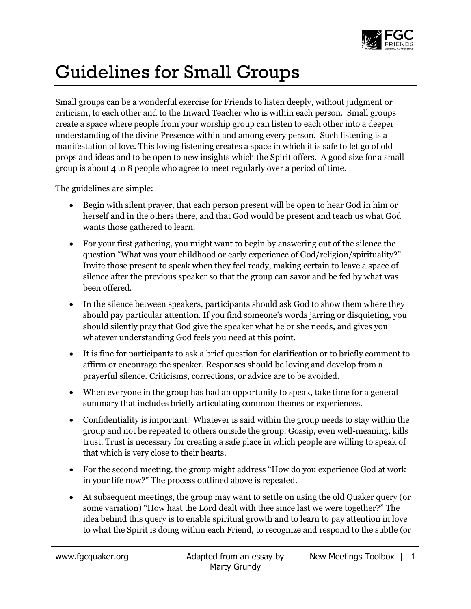

## Guidelines for Small Groups

Small groups can be a wonderful exercise for Friends to listen deeply, without judgment or criticism, to each other and to the Inward Teacher who is within each person. Small groups create a space where people from your worship group can listen to each other into a deeper understanding of the divine Presence within and among every person. Such listening is a manifestation of love. This loving listening creates a space in which it is safe to let go of old props and ideas and to be open to new insights which the Spirit offers. A good size for a small group is about 4 to 8 people who agree to meet regularly over a period of time.

The guidelines are simple:

- Begin with silent prayer, that each person present will be open to hear God in him or herself and in the others there, and that God would be present and teach us what God wants those gathered to learn.
- For your first gathering, you might want to begin by answering out of the silence the question "What was your childhood or early experience of God/religion/spirituality?" Invite those present to speak when they feel ready, making certain to leave a space of silence after the previous speaker so that the group can savor and be fed by what was been offered.
- In the silence between speakers, participants should ask God to show them where they should pay particular attention. If you find someone's words jarring or disquieting, you should silently pray that God give the speaker what he or she needs, and gives you whatever understanding God feels you need at this point.
- It is fine for participants to ask a brief question for clarification or to briefly comment to affirm or encourage the speaker. Responses should be loving and develop from a prayerful silence. Criticisms, corrections, or advice are to be avoided.
- When everyone in the group has had an opportunity to speak, take time for a general summary that includes briefly articulating common themes or experiences.
- Confidentiality is important. Whatever is said within the group needs to stay within the group and not be repeated to others outside the group. Gossip, even well-meaning, kills trust. Trust is necessary for creating a safe place in which people are willing to speak of that which is very close to their hearts.
- For the second meeting, the group might address "How do you experience God at work in your life now?" The process outlined above is repeated.
- At subsequent meetings, the group may want to settle on using the old Quaker query (or some variation) "How hast the Lord dealt with thee since last we were together?" The idea behind this query is to enable spiritual growth and to learn to pay attention in love to what the Spirit is doing within each Friend, to recognize and respond to the subtle (or